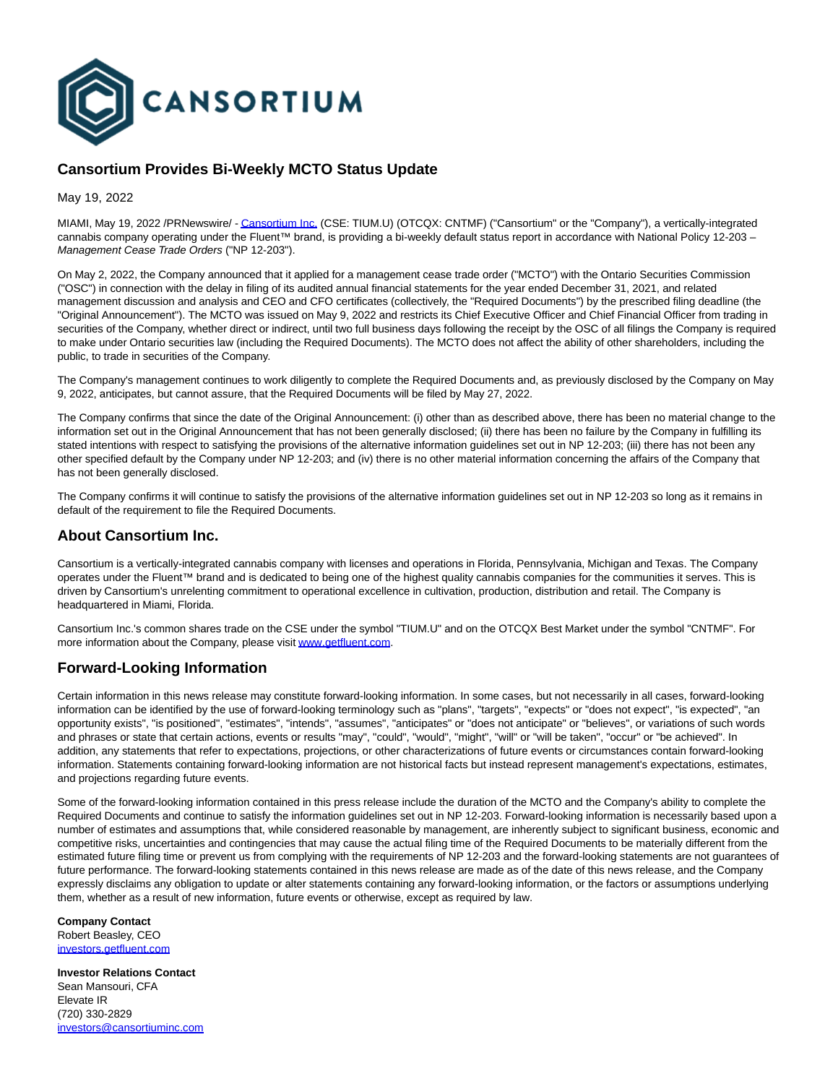

## **Cansortium Provides Bi-Weekly MCTO Status Update**

May 19, 2022

MIAMI, May 19, 2022 /PRNewswire/ [- Cansortium Inc. \(](https://c212.net/c/link/?t=0&l=en&o=3543142-1&h=4124630999&u=http%3A%2F%2Fwww.getfluent.com%2F&a=Cansortium+Inc.)CSE: TIUM.U) (OTCQX: CNTMF) ("Cansortium" or the "Company"), a vertically-integrated cannabis company operating under the Fluent™ brand, is providing a bi-weekly default status report in accordance with National Policy 12-203 – Management Cease Trade Orders ("NP 12-203").

On May 2, 2022, the Company announced that it applied for a management cease trade order ("MCTO") with the Ontario Securities Commission ("OSC") in connection with the delay in filing of its audited annual financial statements for the year ended December 31, 2021, and related management discussion and analysis and CEO and CFO certificates (collectively, the "Required Documents") by the prescribed filing deadline (the "Original Announcement"). The MCTO was issued on May 9, 2022 and restricts its Chief Executive Officer and Chief Financial Officer from trading in securities of the Company, whether direct or indirect, until two full business days following the receipt by the OSC of all filings the Company is required to make under Ontario securities law (including the Required Documents). The MCTO does not affect the ability of other shareholders, including the public, to trade in securities of the Company.

The Company's management continues to work diligently to complete the Required Documents and, as previously disclosed by the Company on May 9, 2022, anticipates, but cannot assure, that the Required Documents will be filed by May 27, 2022.

The Company confirms that since the date of the Original Announcement: (i) other than as described above, there has been no material change to the information set out in the Original Announcement that has not been generally disclosed; (ii) there has been no failure by the Company in fulfilling its stated intentions with respect to satisfying the provisions of the alternative information guidelines set out in NP 12-203; (iii) there has not been any other specified default by the Company under NP 12-203; and (iv) there is no other material information concerning the affairs of the Company that has not been generally disclosed.

The Company confirms it will continue to satisfy the provisions of the alternative information guidelines set out in NP 12-203 so long as it remains in default of the requirement to file the Required Documents.

## **About Cansortium Inc.**

Cansortium is a vertically-integrated cannabis company with licenses and operations in Florida, Pennsylvania, Michigan and Texas. The Company operates under the Fluent™ brand and is dedicated to being one of the highest quality cannabis companies for the communities it serves. This is driven by Cansortium's unrelenting commitment to operational excellence in cultivation, production, distribution and retail. The Company is headquartered in Miami, Florida.

Cansortium Inc.'s common shares trade on the CSE under the symbol "TIUM.U" and on the OTCQX Best Market under the symbol "CNTMF". For more information about the Company, please visi[t www.getfluent.com.](https://c212.net/c/link/?t=0&l=en&o=3543142-1&h=2380342605&u=http%3A%2F%2Fwww.getfluent.com%2F&a=www.getfluent.com)

## **Forward-Looking Information**

Certain information in this news release may constitute forward-looking information. In some cases, but not necessarily in all cases, forward-looking information can be identified by the use of forward-looking terminology such as "plans", "targets", "expects" or "does not expect", "is expected", "an opportunity exists", "is positioned", "estimates", "intends", "assumes", "anticipates" or "does not anticipate" or "believes", or variations of such words and phrases or state that certain actions, events or results "may", "could", "would", "might", "will" or "will be taken", "occur" or "be achieved". In addition, any statements that refer to expectations, projections, or other characterizations of future events or circumstances contain forward-looking information. Statements containing forward-looking information are not historical facts but instead represent management's expectations, estimates, and projections regarding future events.

Some of the forward-looking information contained in this press release include the duration of the MCTO and the Company's ability to complete the Required Documents and continue to satisfy the information guidelines set out in NP 12-203. Forward-looking information is necessarily based upon a number of estimates and assumptions that, while considered reasonable by management, are inherently subject to significant business, economic and competitive risks, uncertainties and contingencies that may cause the actual filing time of the Required Documents to be materially different from the estimated future filing time or prevent us from complying with the requirements of NP 12-203 and the forward-looking statements are not guarantees of future performance. The forward-looking statements contained in this news release are made as of the date of this news release, and the Company expressly disclaims any obligation to update or alter statements containing any forward-looking information, or the factors or assumptions underlying them, whether as a result of new information, future events or otherwise, except as required by law.

**Company Contact** Robert Beasley, CEO [investors.getfluent.com](https://c212.net/c/link/?t=0&l=en&o=3543142-1&h=4097694257&u=https%3A%2F%2Finvestors.getfluent.com%2F&a=investors.getfluent.com)

**Investor Relations Contact** Sean Mansouri, CFA Elevate IR (720) 330-2829 [investors@cansortiuminc.com](mailto:investors@cansortiuminc.com)